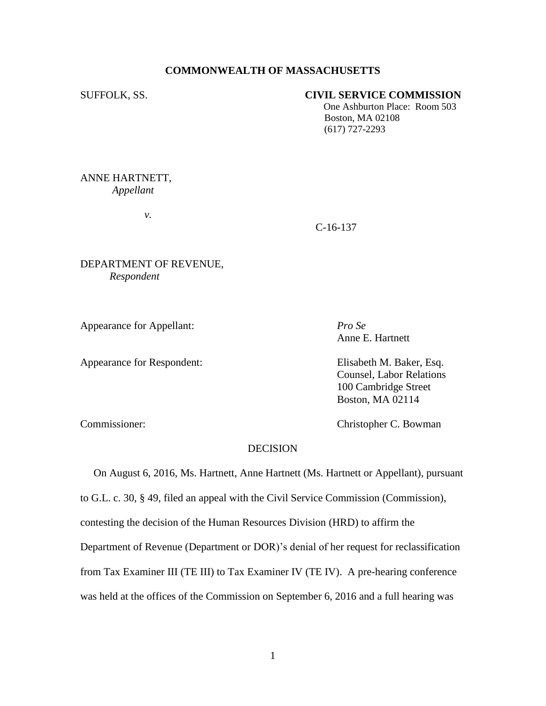## **COMMONWEALTH OF MASSACHUSETTS**

## SUFFOLK, SS. **CIVIL SERVICE COMMISSION**

 One Ashburton Place: Room 503 Boston, MA 02108 (617) 727-2293

# ANNE HARTNETT, *Appellant*

*v.*

C-16-137

# DEPARTMENT OF REVENUE,  *Respondent*

Appearance for Appellant: *Pro Se*

Appearance for Respondent: Elisabeth M. Baker, Esq.

Anne E. Hartnett

Counsel, Labor Relations 100 Cambridge Street Boston, MA 02114

Commissioner: Christopher C. Bowman

# **DECISION**

 On August 6, 2016, Ms. Hartnett, Anne Hartnett (Ms. Hartnett or Appellant), pursuant to G.L. c. 30, § 49, filed an appeal with the Civil Service Commission (Commission), contesting the decision of the Human Resources Division (HRD) to affirm the Department of Revenue (Department or DOR)'s denial of her request for reclassification from Tax Examiner III (TE III) to Tax Examiner IV (TE IV). A pre-hearing conference was held at the offices of the Commission on September 6, 2016 and a full hearing was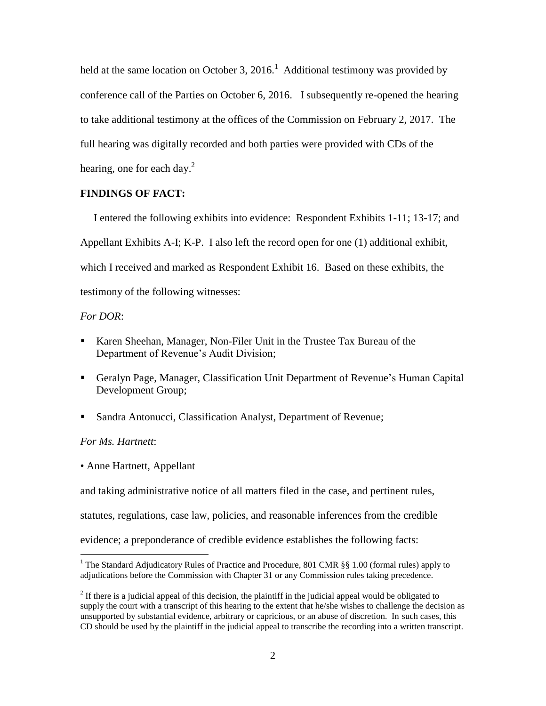held at the same location on October 3, 2016.<sup>1</sup> Additional testimony was provided by conference call of the Parties on October 6, 2016. I subsequently re-opened the hearing to take additional testimony at the offices of the Commission on February 2, 2017. The full hearing was digitally recorded and both parties were provided with CDs of the hearing, one for each day.<sup>2</sup>

# **FINDINGS OF FACT:**

 I entered the following exhibits into evidence: Respondent Exhibits 1-11; 13-17; and Appellant Exhibits A-I; K-P. I also left the record open for one (1) additional exhibit, which I received and marked as Respondent Exhibit 16. Based on these exhibits, the testimony of the following witnesses:

## *For DOR*:

- Karen Sheehan, Manager, Non-Filer Unit in the Trustee Tax Bureau of the Department of Revenue's Audit Division;
- Geralyn Page, Manager, Classification Unit Department of Revenue's Human Capital Development Group;
- Sandra Antonucci, Classification Analyst, Department of Revenue;

# *For Ms. Hartnett*:

 $\overline{a}$ 

• Anne Hartnett, Appellant

and taking administrative notice of all matters filed in the case, and pertinent rules,

statutes, regulations, case law, policies, and reasonable inferences from the credible

evidence; a preponderance of credible evidence establishes the following facts:

<sup>&</sup>lt;sup>1</sup> The Standard Adjudicatory Rules of Practice and Procedure, 801 CMR §§ 1.00 (formal rules) apply to adjudications before the Commission with Chapter 31 or any Commission rules taking precedence.

 $2<sup>2</sup>$  If there is a judicial appeal of this decision, the plaintiff in the judicial appeal would be obligated to supply the court with a transcript of this hearing to the extent that he/she wishes to challenge the decision as unsupported by substantial evidence, arbitrary or capricious, or an abuse of discretion. In such cases, this CD should be used by the plaintiff in the judicial appeal to transcribe the recording into a written transcript.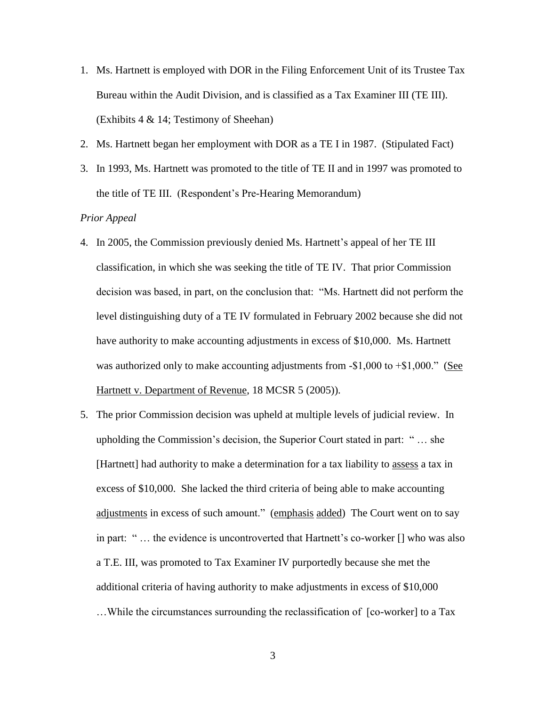- 1. Ms. Hartnett is employed with DOR in the Filing Enforcement Unit of its Trustee Tax Bureau within the Audit Division, and is classified as a Tax Examiner III (TE III). (Exhibits 4 & 14; Testimony of Sheehan)
- 2. Ms. Hartnett began her employment with DOR as a TE I in 1987. (Stipulated Fact)
- 3. In 1993, Ms. Hartnett was promoted to the title of TE II and in 1997 was promoted to the title of TE III. (Respondent's Pre-Hearing Memorandum)

# *Prior Appeal*

- 4. In 2005, the Commission previously denied Ms. Hartnett's appeal of her TE III classification, in which she was seeking the title of TE IV. That prior Commission decision was based, in part, on the conclusion that: "Ms. Hartnett did not perform the level distinguishing duty of a TE IV formulated in February 2002 because she did not have authority to make accounting adjustments in excess of \$10,000. Ms. Hartnett was authorized only to make accounting adjustments from  $-$1,000$  to  $+$1,000$ ." (See Hartnett v. Department of Revenue, 18 MCSR 5 (2005)).
- 5. The prior Commission decision was upheld at multiple levels of judicial review. In upholding the Commission's decision, the Superior Court stated in part: " … she [Hartnett] had authority to make a determination for a tax liability to assess a tax in excess of \$10,000. She lacked the third criteria of being able to make accounting adjustments in excess of such amount." (emphasis added) The Court went on to say in part: " … the evidence is uncontroverted that Hartnett's co-worker [] who was also a T.E. III, was promoted to Tax Examiner IV purportedly because she met the additional criteria of having authority to make adjustments in excess of \$10,000 …While the circumstances surrounding the reclassification of [co-worker] to a Tax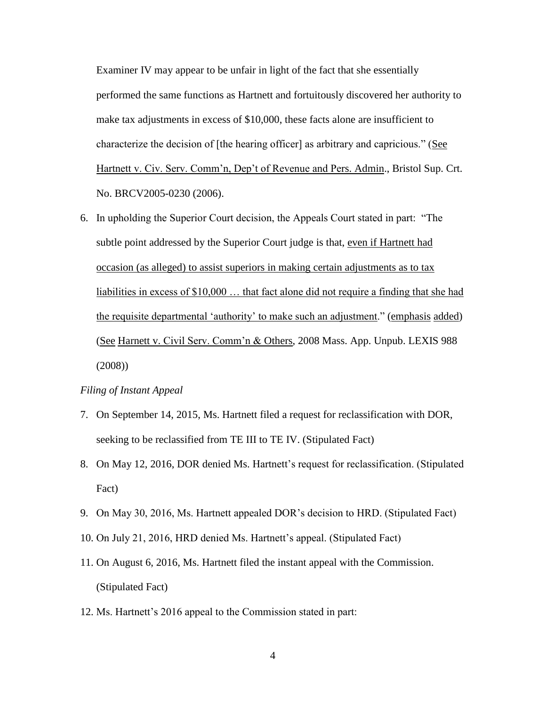Examiner IV may appear to be unfair in light of the fact that she essentially performed the same functions as Hartnett and fortuitously discovered her authority to make tax adjustments in excess of \$10,000, these facts alone are insufficient to characterize the decision of [the hearing officer] as arbitrary and capricious." (See Hartnett v. Civ. Serv. Comm'n, Dep't of Revenue and Pers. Admin., Bristol Sup. Crt. No. BRCV2005-0230 (2006).

6. In upholding the Superior Court decision, the Appeals Court stated in part: "The subtle point addressed by the Superior Court judge is that, even if Hartnett had occasion (as alleged) to assist superiors in making certain adjustments as to tax liabilities in excess of \$10,000 … that fact alone did not require a finding that she had the requisite departmental 'authority' to make such an adjustment." (emphasis added) (See Harnett v. Civil Serv. Comm'n & Others, 2008 Mass. App. Unpub. LEXIS 988 (2008))

#### *Filing of Instant Appeal*

- 7. On September 14, 2015, Ms. Hartnett filed a request for reclassification with DOR, seeking to be reclassified from TE III to TE IV. (Stipulated Fact)
- 8. On May 12, 2016, DOR denied Ms. Hartnett's request for reclassification. (Stipulated Fact)
- 9. On May 30, 2016, Ms. Hartnett appealed DOR's decision to HRD. (Stipulated Fact)
- 10. On July 21, 2016, HRD denied Ms. Hartnett's appeal. (Stipulated Fact)
- 11. On August 6, 2016, Ms. Hartnett filed the instant appeal with the Commission. (Stipulated Fact)
- 12. Ms. Hartnett's 2016 appeal to the Commission stated in part: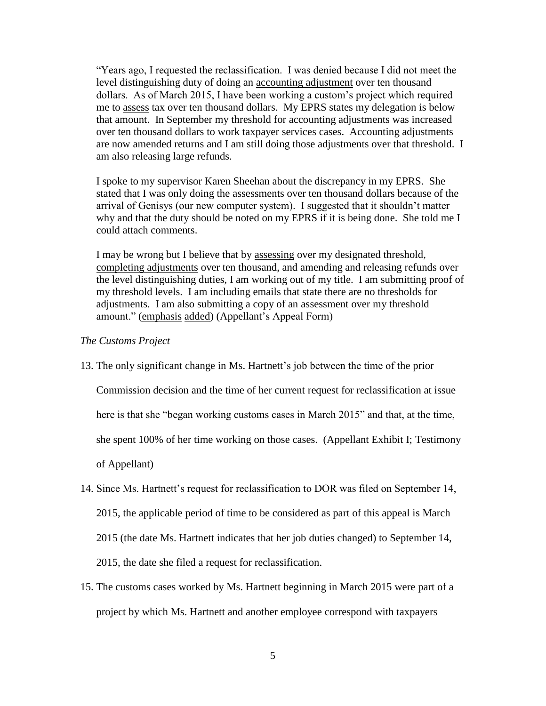"Years ago, I requested the reclassification. I was denied because I did not meet the level distinguishing duty of doing an accounting adjustment over ten thousand dollars. As of March 2015, I have been working a custom's project which required me to assess tax over ten thousand dollars. My EPRS states my delegation is below that amount. In September my threshold for accounting adjustments was increased over ten thousand dollars to work taxpayer services cases. Accounting adjustments are now amended returns and I am still doing those adjustments over that threshold. I am also releasing large refunds.

I spoke to my supervisor Karen Sheehan about the discrepancy in my EPRS. She stated that I was only doing the assessments over ten thousand dollars because of the arrival of Genisys (our new computer system). I suggested that it shouldn't matter why and that the duty should be noted on my EPRS if it is being done. She told me I could attach comments.

I may be wrong but I believe that by assessing over my designated threshold, completing adjustments over ten thousand, and amending and releasing refunds over the level distinguishing duties, I am working out of my title. I am submitting proof of my threshold levels. I am including emails that state there are no thresholds for adjustments. I am also submitting a copy of an assessment over my threshold amount." (emphasis added) (Appellant's Appeal Form)

#### *The Customs Project*

13. The only significant change in Ms. Hartnett's job between the time of the prior

Commission decision and the time of her current request for reclassification at issue

here is that she "began working customs cases in March 2015" and that, at the time,

she spent 100% of her time working on those cases. (Appellant Exhibit I; Testimony

of Appellant)

- 14. Since Ms. Hartnett's request for reclassification to DOR was filed on September 14, 2015, the applicable period of time to be considered as part of this appeal is March 2015 (the date Ms. Hartnett indicates that her job duties changed) to September 14, 2015, the date she filed a request for reclassification.
- 15. The customs cases worked by Ms. Hartnett beginning in March 2015 were part of a project by which Ms. Hartnett and another employee correspond with taxpayers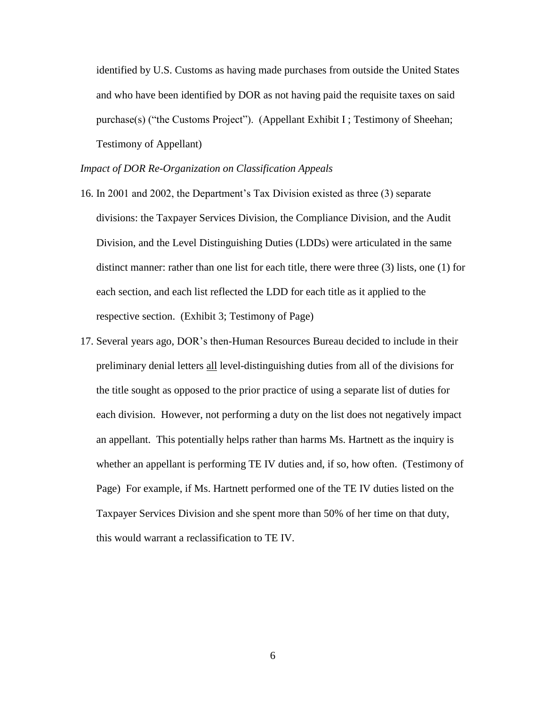identified by U.S. Customs as having made purchases from outside the United States and who have been identified by DOR as not having paid the requisite taxes on said purchase(s) ("the Customs Project"). (Appellant Exhibit I ; Testimony of Sheehan; Testimony of Appellant)

## *Impact of DOR Re-Organization on Classification Appeals*

- 16. In 2001 and 2002, the Department's Tax Division existed as three (3) separate divisions: the Taxpayer Services Division, the Compliance Division, and the Audit Division, and the Level Distinguishing Duties (LDDs) were articulated in the same distinct manner: rather than one list for each title, there were three (3) lists, one (1) for each section, and each list reflected the LDD for each title as it applied to the respective section. (Exhibit 3; Testimony of Page)
- 17. Several years ago, DOR's then-Human Resources Bureau decided to include in their preliminary denial letters all level-distinguishing duties from all of the divisions for the title sought as opposed to the prior practice of using a separate list of duties for each division. However, not performing a duty on the list does not negatively impact an appellant. This potentially helps rather than harms Ms. Hartnett as the inquiry is whether an appellant is performing TE IV duties and, if so, how often. (Testimony of Page) For example, if Ms. Hartnett performed one of the TE IV duties listed on the Taxpayer Services Division and she spent more than 50% of her time on that duty, this would warrant a reclassification to TE IV.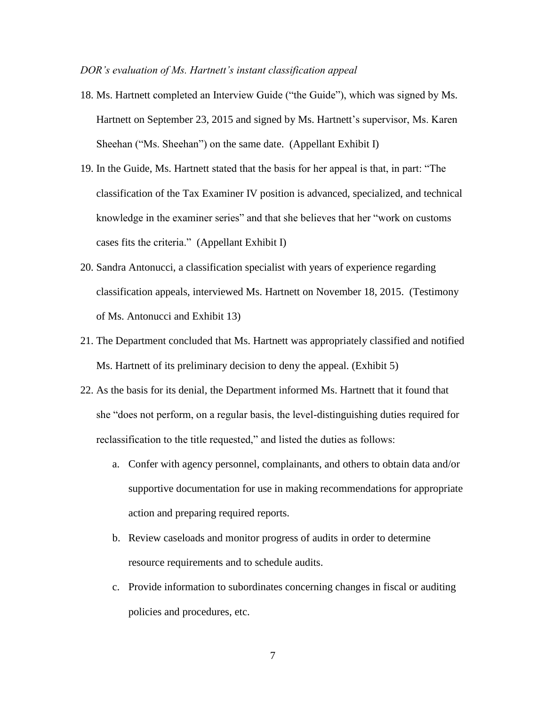#### *DOR's evaluation of Ms. Hartnett's instant classification appeal*

- 18. Ms. Hartnett completed an Interview Guide ("the Guide"), which was signed by Ms. Hartnett on September 23, 2015 and signed by Ms. Hartnett's supervisor, Ms. Karen Sheehan ("Ms. Sheehan") on the same date. (Appellant Exhibit I)
- 19. In the Guide, Ms. Hartnett stated that the basis for her appeal is that, in part: "The classification of the Tax Examiner IV position is advanced, specialized, and technical knowledge in the examiner series" and that she believes that her "work on customs cases fits the criteria." (Appellant Exhibit I)
- 20. Sandra Antonucci, a classification specialist with years of experience regarding classification appeals, interviewed Ms. Hartnett on November 18, 2015. (Testimony of Ms. Antonucci and Exhibit 13)
- 21. The Department concluded that Ms. Hartnett was appropriately classified and notified Ms. Hartnett of its preliminary decision to deny the appeal. (Exhibit 5)
- 22. As the basis for its denial, the Department informed Ms. Hartnett that it found that she "does not perform, on a regular basis, the level-distinguishing duties required for reclassification to the title requested," and listed the duties as follows:
	- a. Confer with agency personnel, complainants, and others to obtain data and/or supportive documentation for use in making recommendations for appropriate action and preparing required reports.
	- b. Review caseloads and monitor progress of audits in order to determine resource requirements and to schedule audits.
	- c. Provide information to subordinates concerning changes in fiscal or auditing policies and procedures, etc.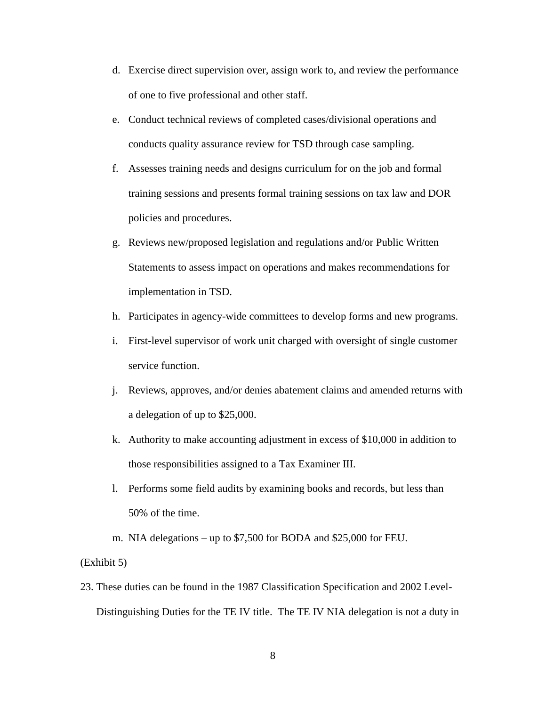- d. Exercise direct supervision over, assign work to, and review the performance of one to five professional and other staff.
- e. Conduct technical reviews of completed cases/divisional operations and conducts quality assurance review for TSD through case sampling.
- f. Assesses training needs and designs curriculum for on the job and formal training sessions and presents formal training sessions on tax law and DOR policies and procedures.
- g. Reviews new/proposed legislation and regulations and/or Public Written Statements to assess impact on operations and makes recommendations for implementation in TSD.
- h. Participates in agency-wide committees to develop forms and new programs.
- i. First-level supervisor of work unit charged with oversight of single customer service function.
- j. Reviews, approves, and/or denies abatement claims and amended returns with a delegation of up to \$25,000.
- k. Authority to make accounting adjustment in excess of \$10,000 in addition to those responsibilities assigned to a Tax Examiner III.
- l. Performs some field audits by examining books and records, but less than 50% of the time.
- m. NIA delegations up to \$7,500 for BODA and \$25,000 for FEU.

## (Exhibit 5)

23. These duties can be found in the 1987 Classification Specification and 2002 Level-Distinguishing Duties for the TE IV title. The TE IV NIA delegation is not a duty in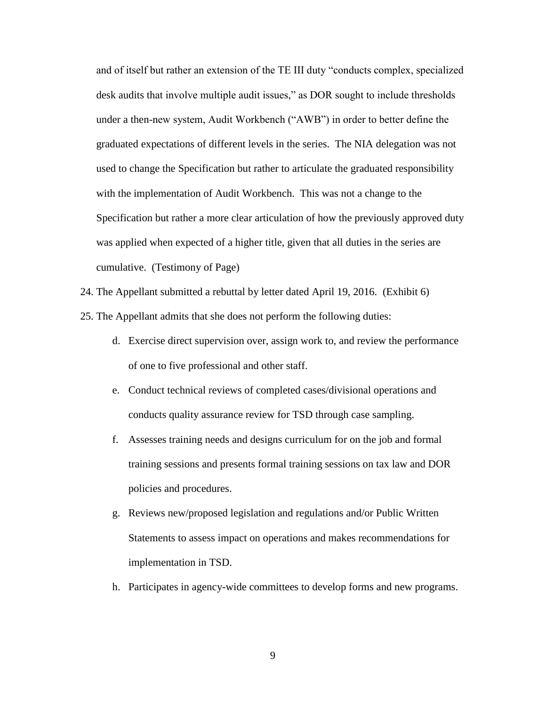and of itself but rather an extension of the TE III duty "conducts complex, specialized desk audits that involve multiple audit issues," as DOR sought to include thresholds under a then-new system, Audit Workbench ("AWB") in order to better define the graduated expectations of different levels in the series. The NIA delegation was not used to change the Specification but rather to articulate the graduated responsibility with the implementation of Audit Workbench. This was not a change to the Specification but rather a more clear articulation of how the previously approved duty was applied when expected of a higher title, given that all duties in the series are cumulative. (Testimony of Page)

24. The Appellant submitted a rebuttal by letter dated April 19, 2016. (Exhibit 6)

25. The Appellant admits that she does not perform the following duties:

- d. Exercise direct supervision over, assign work to, and review the performance of one to five professional and other staff.
- e. Conduct technical reviews of completed cases/divisional operations and conducts quality assurance review for TSD through case sampling.
- f. Assesses training needs and designs curriculum for on the job and formal training sessions and presents formal training sessions on tax law and DOR policies and procedures.
- g. Reviews new/proposed legislation and regulations and/or Public Written Statements to assess impact on operations and makes recommendations for implementation in TSD.
- h. Participates in agency-wide committees to develop forms and new programs.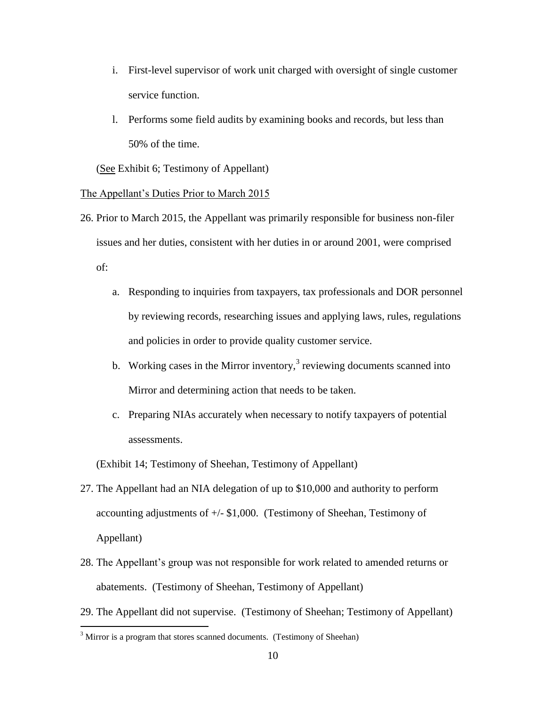- i. First-level supervisor of work unit charged with oversight of single customer service function.
- l. Performs some field audits by examining books and records, but less than 50% of the time.

(See Exhibit 6; Testimony of Appellant)

#### The Appellant's Duties Prior to March 2015

- 26. Prior to March 2015, the Appellant was primarily responsible for business non-filer issues and her duties, consistent with her duties in or around 2001, were comprised of:
	- a. Responding to inquiries from taxpayers, tax professionals and DOR personnel by reviewing records, researching issues and applying laws, rules, regulations and policies in order to provide quality customer service.
	- b. Working cases in the Mirror inventory, $3$  reviewing documents scanned into Mirror and determining action that needs to be taken.
	- c. Preparing NIAs accurately when necessary to notify taxpayers of potential assessments.

(Exhibit 14; Testimony of Sheehan, Testimony of Appellant)

- 27. The Appellant had an NIA delegation of up to \$10,000 and authority to perform accounting adjustments of  $+/-$  \$1,000. (Testimony of Sheehan, Testimony of Appellant)
- 28. The Appellant's group was not responsible for work related to amended returns or abatements. (Testimony of Sheehan, Testimony of Appellant)
- 29. The Appellant did not supervise. (Testimony of Sheehan; Testimony of Appellant)

 $\overline{a}$ 

 $3$  Mirror is a program that stores scanned documents. (Testimony of Sheehan)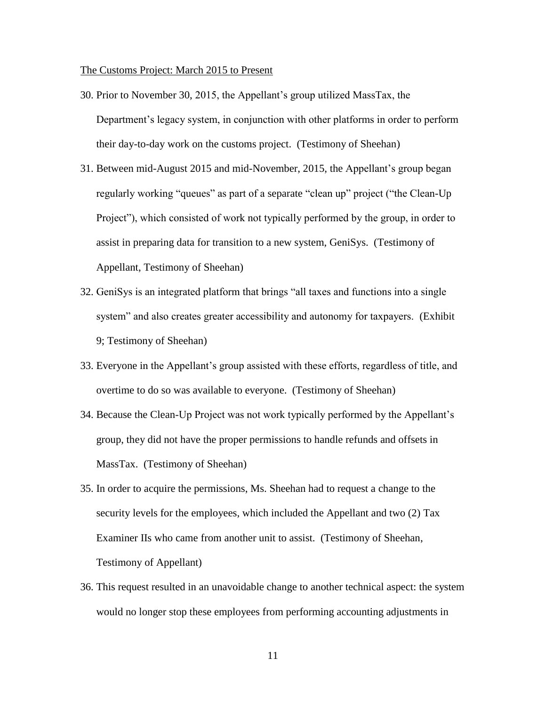The Customs Project: March 2015 to Present

- 30. Prior to November 30, 2015, the Appellant's group utilized MassTax, the Department's legacy system, in conjunction with other platforms in order to perform their day-to-day work on the customs project. (Testimony of Sheehan)
- 31. Between mid-August 2015 and mid-November, 2015, the Appellant's group began regularly working "queues" as part of a separate "clean up" project ("the Clean-Up Project"), which consisted of work not typically performed by the group, in order to assist in preparing data for transition to a new system, GeniSys. (Testimony of Appellant, Testimony of Sheehan)
- 32. GeniSys is an integrated platform that brings "all taxes and functions into a single system" and also creates greater accessibility and autonomy for taxpayers. (Exhibit 9; Testimony of Sheehan)
- 33. Everyone in the Appellant's group assisted with these efforts, regardless of title, and overtime to do so was available to everyone. (Testimony of Sheehan)
- 34. Because the Clean-Up Project was not work typically performed by the Appellant's group, they did not have the proper permissions to handle refunds and offsets in MassTax. (Testimony of Sheehan)
- 35. In order to acquire the permissions, Ms. Sheehan had to request a change to the security levels for the employees, which included the Appellant and two (2) Tax Examiner IIs who came from another unit to assist. (Testimony of Sheehan, Testimony of Appellant)
- 36. This request resulted in an unavoidable change to another technical aspect: the system would no longer stop these employees from performing accounting adjustments in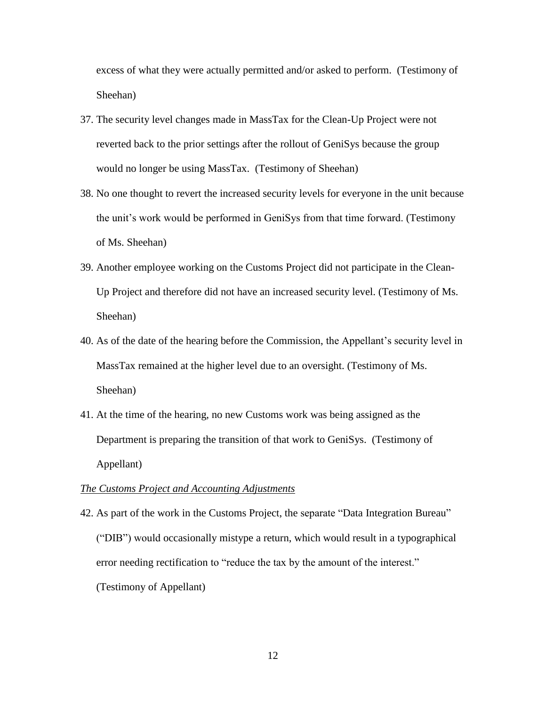excess of what they were actually permitted and/or asked to perform. (Testimony of Sheehan)

- 37. The security level changes made in MassTax for the Clean-Up Project were not reverted back to the prior settings after the rollout of GeniSys because the group would no longer be using MassTax. (Testimony of Sheehan)
- 38. No one thought to revert the increased security levels for everyone in the unit because the unit's work would be performed in GeniSys from that time forward. (Testimony of Ms. Sheehan)
- 39. Another employee working on the Customs Project did not participate in the Clean-Up Project and therefore did not have an increased security level. (Testimony of Ms. Sheehan)
- 40. As of the date of the hearing before the Commission, the Appellant's security level in MassTax remained at the higher level due to an oversight. (Testimony of Ms. Sheehan)
- 41. At the time of the hearing, no new Customs work was being assigned as the Department is preparing the transition of that work to GeniSys. (Testimony of Appellant)

#### *The Customs Project and Accounting Adjustments*

42. As part of the work in the Customs Project, the separate "Data Integration Bureau" ("DIB") would occasionally mistype a return, which would result in a typographical error needing rectification to "reduce the tax by the amount of the interest." (Testimony of Appellant)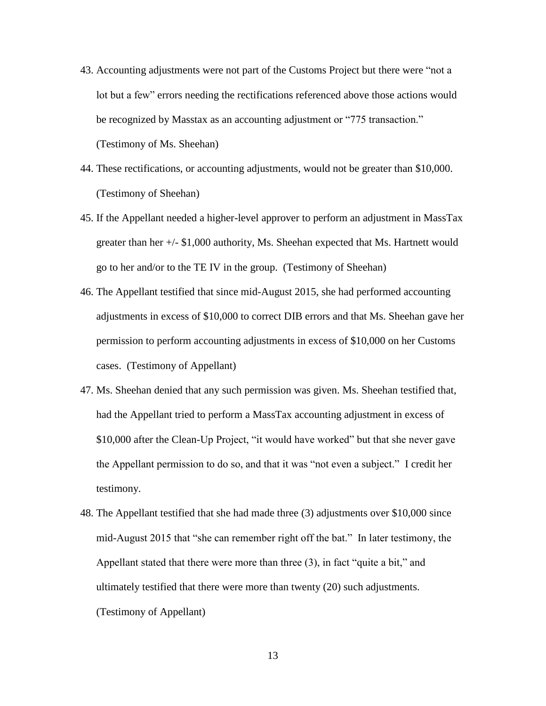- 43. Accounting adjustments were not part of the Customs Project but there were "not a lot but a few" errors needing the rectifications referenced above those actions would be recognized by Masstax as an accounting adjustment or "775 transaction." (Testimony of Ms. Sheehan)
- 44. These rectifications, or accounting adjustments, would not be greater than \$10,000. (Testimony of Sheehan)
- 45. If the Appellant needed a higher-level approver to perform an adjustment in MassTax greater than her +/- \$1,000 authority, Ms. Sheehan expected that Ms. Hartnett would go to her and/or to the TE IV in the group. (Testimony of Sheehan)
- 46. The Appellant testified that since mid-August 2015, she had performed accounting adjustments in excess of \$10,000 to correct DIB errors and that Ms. Sheehan gave her permission to perform accounting adjustments in excess of \$10,000 on her Customs cases. (Testimony of Appellant)
- 47. Ms. Sheehan denied that any such permission was given. Ms. Sheehan testified that, had the Appellant tried to perform a MassTax accounting adjustment in excess of \$10,000 after the Clean-Up Project, "it would have worked" but that she never gave the Appellant permission to do so, and that it was "not even a subject." I credit her testimony.
- 48. The Appellant testified that she had made three (3) adjustments over \$10,000 since mid-August 2015 that "she can remember right off the bat." In later testimony, the Appellant stated that there were more than three (3), in fact "quite a bit," and ultimately testified that there were more than twenty (20) such adjustments. (Testimony of Appellant)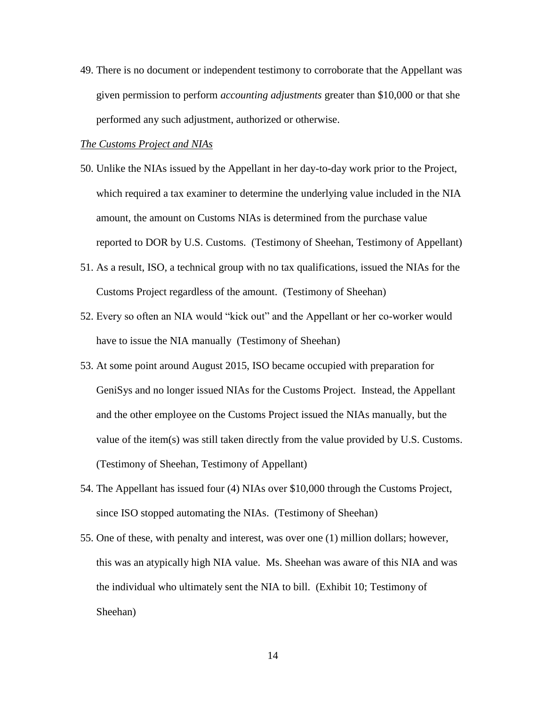49. There is no document or independent testimony to corroborate that the Appellant was given permission to perform *accounting adjustments* greater than \$10,000 or that she performed any such adjustment, authorized or otherwise.

## *The Customs Project and NIAs*

- 50. Unlike the NIAs issued by the Appellant in her day-to-day work prior to the Project, which required a tax examiner to determine the underlying value included in the NIA amount, the amount on Customs NIAs is determined from the purchase value reported to DOR by U.S. Customs. (Testimony of Sheehan, Testimony of Appellant)
- 51. As a result, ISO, a technical group with no tax qualifications, issued the NIAs for the Customs Project regardless of the amount. (Testimony of Sheehan)
- 52. Every so often an NIA would "kick out" and the Appellant or her co-worker would have to issue the NIA manually (Testimony of Sheehan)
- 53. At some point around August 2015, ISO became occupied with preparation for GeniSys and no longer issued NIAs for the Customs Project. Instead, the Appellant and the other employee on the Customs Project issued the NIAs manually, but the value of the item(s) was still taken directly from the value provided by U.S. Customs. (Testimony of Sheehan, Testimony of Appellant)
- 54. The Appellant has issued four (4) NIAs over \$10,000 through the Customs Project, since ISO stopped automating the NIAs. (Testimony of Sheehan)
- 55. One of these, with penalty and interest, was over one (1) million dollars; however, this was an atypically high NIA value. Ms. Sheehan was aware of this NIA and was the individual who ultimately sent the NIA to bill. (Exhibit 10; Testimony of Sheehan)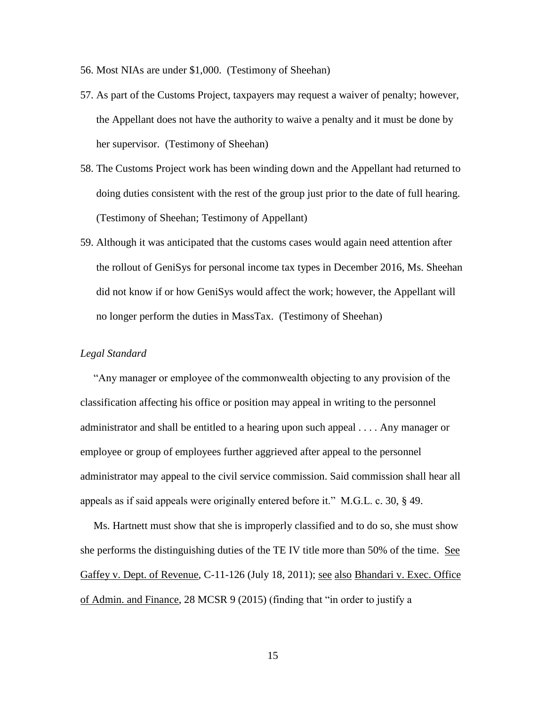- 56. Most NIAs are under \$1,000. (Testimony of Sheehan)
- 57. As part of the Customs Project, taxpayers may request a waiver of penalty; however, the Appellant does not have the authority to waive a penalty and it must be done by her supervisor. (Testimony of Sheehan)
- 58. The Customs Project work has been winding down and the Appellant had returned to doing duties consistent with the rest of the group just prior to the date of full hearing. (Testimony of Sheehan; Testimony of Appellant)
- 59. Although it was anticipated that the customs cases would again need attention after the rollout of GeniSys for personal income tax types in December 2016, Ms. Sheehan did not know if or how GeniSys would affect the work; however, the Appellant will no longer perform the duties in MassTax. (Testimony of Sheehan)

## *Legal Standard*

 "Any manager or employee of the commonwealth objecting to any provision of the classification affecting his office or position may appeal in writing to the personnel administrator and shall be entitled to a hearing upon such appeal . . . . Any manager or employee or group of employees further aggrieved after appeal to the personnel administrator may appeal to the civil service commission. Said commission shall hear all appeals as if said appeals were originally entered before it." M.G.L. c. 30, § 49.

 Ms. Hartnett must show that she is improperly classified and to do so, she must show she performs the distinguishing duties of the TE IV title more than 50% of the time. See Gaffey v. Dept. of Revenue, C-11-126 (July 18, 2011); see also Bhandari v. Exec. Office of Admin. and Finance, 28 MCSR 9 (2015) (finding that "in order to justify a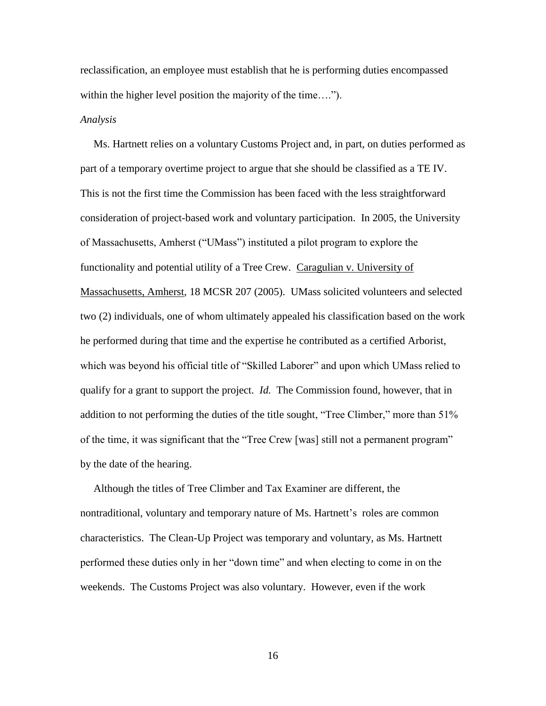reclassification, an employee must establish that he is performing duties encompassed within the higher level position the majority of the time....").

#### *Analysis*

 Ms. Hartnett relies on a voluntary Customs Project and, in part, on duties performed as part of a temporary overtime project to argue that she should be classified as a TE IV. This is not the first time the Commission has been faced with the less straightforward consideration of project-based work and voluntary participation. In 2005, the University of Massachusetts, Amherst ("UMass") instituted a pilot program to explore the functionality and potential utility of a Tree Crew. Caragulian v. University of Massachusetts, Amherst, 18 MCSR 207 (2005). UMass solicited volunteers and selected two (2) individuals, one of whom ultimately appealed his classification based on the work he performed during that time and the expertise he contributed as a certified Arborist, which was beyond his official title of "Skilled Laborer" and upon which UMass relied to qualify for a grant to support the project. *Id.* The Commission found, however, that in addition to not performing the duties of the title sought, "Tree Climber," more than 51% of the time, it was significant that the "Tree Crew [was] still not a permanent program" by the date of the hearing.

 Although the titles of Tree Climber and Tax Examiner are different, the nontraditional, voluntary and temporary nature of Ms. Hartnett's roles are common characteristics. The Clean-Up Project was temporary and voluntary, as Ms. Hartnett performed these duties only in her "down time" and when electing to come in on the weekends. The Customs Project was also voluntary. However, even if the work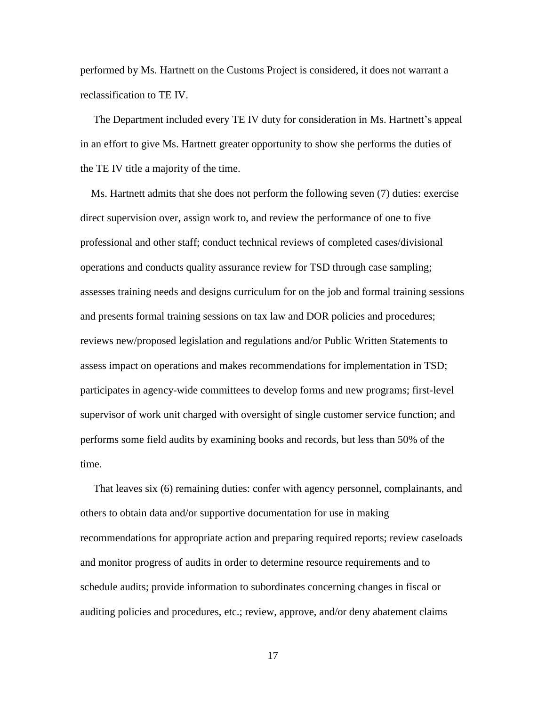performed by Ms. Hartnett on the Customs Project is considered, it does not warrant a reclassification to TE IV.

 The Department included every TE IV duty for consideration in Ms. Hartnett's appeal in an effort to give Ms. Hartnett greater opportunity to show she performs the duties of the TE IV title a majority of the time.

 Ms. Hartnett admits that she does not perform the following seven (7) duties: exercise direct supervision over, assign work to, and review the performance of one to five professional and other staff; conduct technical reviews of completed cases/divisional operations and conducts quality assurance review for TSD through case sampling; assesses training needs and designs curriculum for on the job and formal training sessions and presents formal training sessions on tax law and DOR policies and procedures; reviews new/proposed legislation and regulations and/or Public Written Statements to assess impact on operations and makes recommendations for implementation in TSD; participates in agency-wide committees to develop forms and new programs; first-level supervisor of work unit charged with oversight of single customer service function; and performs some field audits by examining books and records, but less than 50% of the time.

 That leaves six (6) remaining duties: confer with agency personnel, complainants, and others to obtain data and/or supportive documentation for use in making recommendations for appropriate action and preparing required reports; review caseloads and monitor progress of audits in order to determine resource requirements and to schedule audits; provide information to subordinates concerning changes in fiscal or auditing policies and procedures, etc.; review, approve, and/or deny abatement claims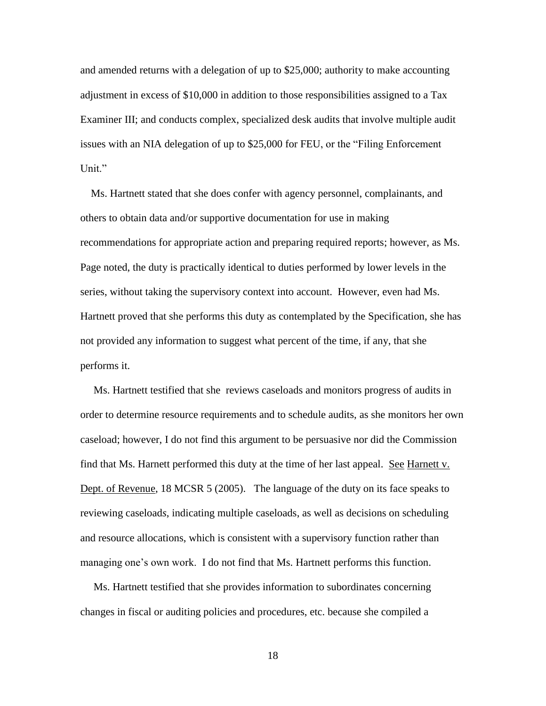and amended returns with a delegation of up to \$25,000; authority to make accounting adjustment in excess of \$10,000 in addition to those responsibilities assigned to a Tax Examiner III; and conducts complex, specialized desk audits that involve multiple audit issues with an NIA delegation of up to \$25,000 for FEU, or the "Filing Enforcement Unit."

 Ms. Hartnett stated that she does confer with agency personnel, complainants, and others to obtain data and/or supportive documentation for use in making recommendations for appropriate action and preparing required reports; however, as Ms. Page noted, the duty is practically identical to duties performed by lower levels in the series, without taking the supervisory context into account. However, even had Ms. Hartnett proved that she performs this duty as contemplated by the Specification, she has not provided any information to suggest what percent of the time, if any, that she performs it.

 Ms. Hartnett testified that she reviews caseloads and monitors progress of audits in order to determine resource requirements and to schedule audits, as she monitors her own caseload; however, I do not find this argument to be persuasive nor did the Commission find that Ms. Harnett performed this duty at the time of her last appeal. See Harnett v. Dept. of Revenue, 18 MCSR 5 (2005). The language of the duty on its face speaks to reviewing caseload*s*, indicating multiple caseloads, as well as decisions on scheduling and resource allocations, which is consistent with a supervisory function rather than managing one's own work. I do not find that Ms. Hartnett performs this function.

 Ms. Hartnett testified that she provides information to subordinates concerning changes in fiscal or auditing policies and procedures, etc. because she compiled a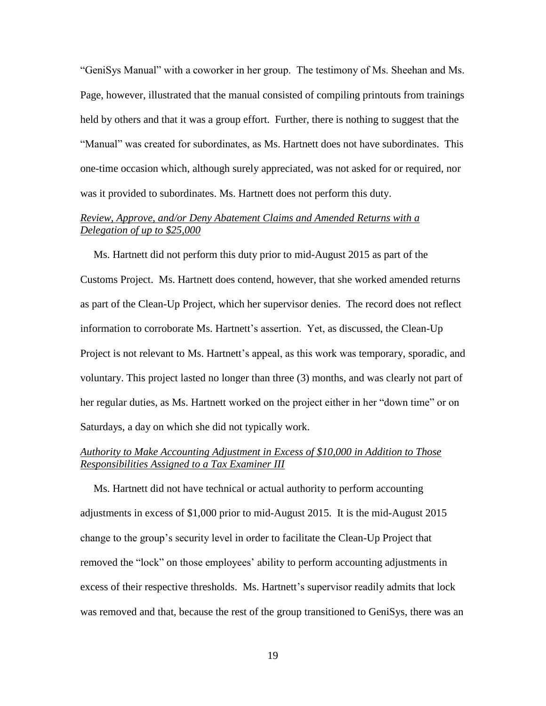"GeniSys Manual" with a coworker in her group. The testimony of Ms. Sheehan and Ms. Page, however, illustrated that the manual consisted of compiling printouts from trainings held by others and that it was a group effort. Further, there is nothing to suggest that the "Manual" was created for subordinates, as Ms. Hartnett does not have subordinates. This one-time occasion which, although surely appreciated, was not asked for or required, nor was it provided to subordinates. Ms. Hartnett does not perform this duty.

# *Review, Approve, and/or Deny Abatement Claims and Amended Returns with a Delegation of up to \$25,000*

 Ms. Hartnett did not perform this duty prior to mid-August 2015 as part of the Customs Project. Ms. Hartnett does contend, however, that she worked amended returns as part of the Clean-Up Project, which her supervisor denies. The record does not reflect information to corroborate Ms. Hartnett's assertion. Yet, as discussed, the Clean-Up Project is not relevant to Ms. Hartnett's appeal, as this work was temporary, sporadic, and voluntary. This project lasted no longer than three (3) months, and was clearly not part of her regular duties, as Ms. Hartnett worked on the project either in her "down time" or on Saturdays, a day on which she did not typically work.

# *Authority to Make Accounting Adjustment in Excess of \$10,000 in Addition to Those Responsibilities Assigned to a Tax Examiner III*

 Ms. Hartnett did not have technical or actual authority to perform accounting adjustments in excess of \$1,000 prior to mid-August 2015. It is the mid-August 2015 change to the group's security level in order to facilitate the Clean-Up Project that removed the "lock" on those employees' ability to perform accounting adjustments in excess of their respective thresholds. Ms. Hartnett's supervisor readily admits that lock was removed and that, because the rest of the group transitioned to GeniSys, there was an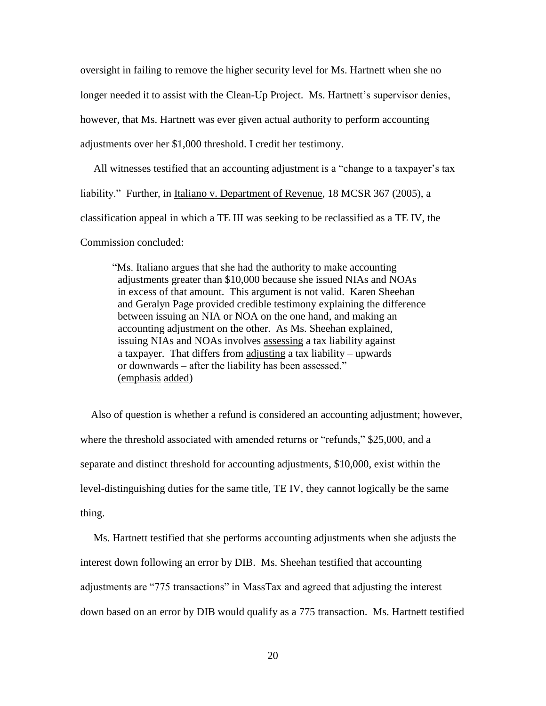oversight in failing to remove the higher security level for Ms. Hartnett when she no longer needed it to assist with the Clean-Up Project. Ms. Hartnett's supervisor denies, however, that Ms. Hartnett was ever given actual authority to perform accounting adjustments over her \$1,000 threshold. I credit her testimony.

 All witnesses testified that an accounting adjustment is a "change to a taxpayer's tax liability." Further, in Italiano v. Department of Revenue, 18 MCSR 367 (2005), a classification appeal in which a TE III was seeking to be reclassified as a TE IV, the

Commission concluded:

"Ms. Italiano argues that she had the authority to make accounting adjustments greater than \$10,000 because she issued NIAs and NOAs in excess of that amount. This argument is not valid. Karen Sheehan and Geralyn Page provided credible testimony explaining the difference between issuing an NIA or NOA on the one hand, and making an accounting adjustment on the other. As Ms. Sheehan explained, issuing NIAs and NOAs involves assessing a tax liability against a taxpayer. That differs from adjusting a tax liability – upwards or downwards – after the liability has been assessed." (emphasis added)

 Also of question is whether a refund is considered an accounting adjustment; however, where the threshold associated with amended returns or "refunds," \$25,000, and a separate and distinct threshold for accounting adjustments, \$10,000, exist within the level-distinguishing duties for the same title, TE IV, they cannot logically be the same thing.

 Ms. Hartnett testified that she performs accounting adjustments when she adjusts the interest down following an error by DIB. Ms. Sheehan testified that accounting adjustments are "775 transactions" in MassTax and agreed that adjusting the interest down based on an error by DIB would qualify as a 775 transaction. Ms. Hartnett testified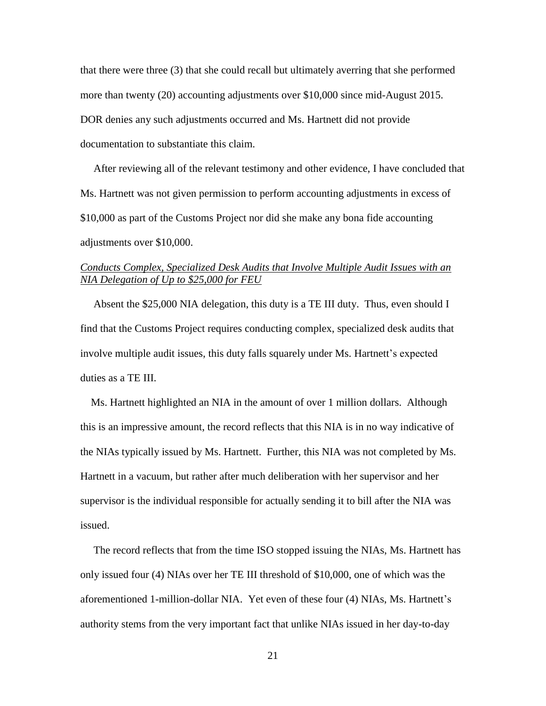that there were three (3) that she could recall but ultimately averring that she performed more than twenty (20) accounting adjustments over \$10,000 since mid-August 2015. DOR denies any such adjustments occurred and Ms. Hartnett did not provide documentation to substantiate this claim.

 After reviewing all of the relevant testimony and other evidence, I have concluded that Ms. Hartnett was not given permission to perform accounting adjustments in excess of \$10,000 as part of the Customs Project nor did she make any bona fide accounting adjustments over \$10,000.

# *Conducts Complex, Specialized Desk Audits that Involve Multiple Audit Issues with an NIA Delegation of Up to \$25,000 for FEU*

 Absent the \$25,000 NIA delegation, this duty is a TE III duty. Thus, even should I find that the Customs Project requires conducting complex, specialized desk audits that involve multiple audit issues, this duty falls squarely under Ms. Hartnett's expected duties as a TE III.

 Ms. Hartnett highlighted an NIA in the amount of over 1 million dollars. Although this is an impressive amount, the record reflects that this NIA is in no way indicative of the NIAs typically issued by Ms. Hartnett. Further, this NIA was not completed by Ms. Hartnett in a vacuum, but rather after much deliberation with her supervisor and her supervisor is the individual responsible for actually sending it to bill after the NIA was issued.

 The record reflects that from the time ISO stopped issuing the NIAs, Ms. Hartnett has only issued four (4) NIAs over her TE III threshold of \$10,000, one of which was the aforementioned 1-million-dollar NIA. Yet even of these four (4) NIAs, Ms. Hartnett's authority stems from the very important fact that unlike NIAs issued in her day-to-day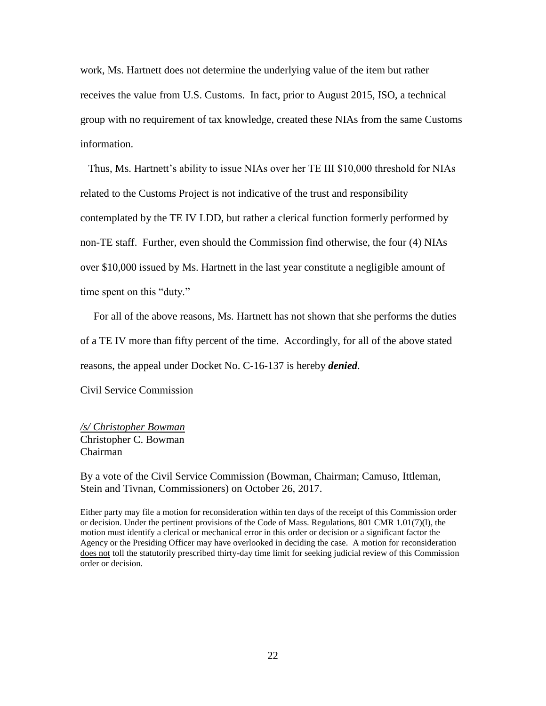work, Ms. Hartnett does not determine the underlying value of the item but rather receives the value from U.S. Customs. In fact, prior to August 2015, ISO, a technical group with no requirement of tax knowledge, created these NIAs from the same Customs information.

 Thus, Ms. Hartnett's ability to issue NIAs over her TE III \$10,000 threshold for NIAs related to the Customs Project is not indicative of the trust and responsibility contemplated by the TE IV LDD, but rather a clerical function formerly performed by non-TE staff. Further, even should the Commission find otherwise, the four (4) NIAs over \$10,000 issued by Ms. Hartnett in the last year constitute a negligible amount of time spent on this "duty."

 For all of the above reasons, Ms. Hartnett has not shown that she performs the duties of a TE IV more than fifty percent of the time. Accordingly, for all of the above stated reasons, the appeal under Docket No. C-16-137 is hereby *denied*.

Civil Service Commission

*/s/ Christopher Bowman* Christopher C. Bowman Chairman

By a vote of the Civil Service Commission (Bowman, Chairman; Camuso, Ittleman, Stein and Tivnan, Commissioners) on October 26, 2017.

Either party may file a motion for reconsideration within ten days of the receipt of this Commission order or decision. Under the pertinent provisions of the Code of Mass. Regulations, 801 CMR 1.01(7)(l), the motion must identify a clerical or mechanical error in this order or decision or a significant factor the Agency or the Presiding Officer may have overlooked in deciding the case. A motion for reconsideration does not toll the statutorily prescribed thirty-day time limit for seeking judicial review of this Commission order or decision.